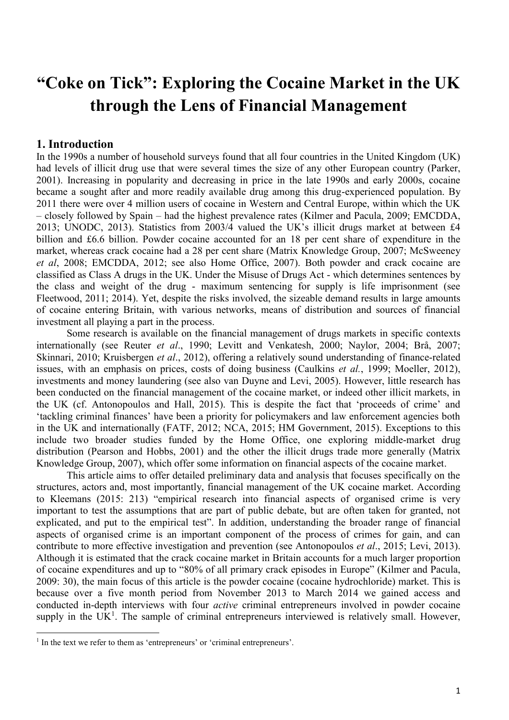# **"Coke on Tick": Exploring the Cocaine Market in the UK through the Lens of Financial Management**

# **1. Introduction**

In the 1990s a number of household surveys found that all four countries in the United Kingdom (UK) had levels of illicit drug use that were several times the size of any other European country (Parker, 2001). Increasing in popularity and decreasing in price in the late 1990s and early 2000s, cocaine became a sought after and more readily available drug among this drug-experienced population. By 2011 there were over 4 million users of cocaine in Western and Central Europe, within which the UK – closely followed by Spain – had the highest prevalence rates (Kilmer and Pacula, 2009; EMCDDA, 2013; UNODC, 2013). Statistics from 2003/4 valued the UK's illicit drugs market at between £4 billion and £6.6 billion. Powder cocaine accounted for an 18 per cent share of expenditure in the market, whereas crack cocaine had a 28 per cent share (Matrix Knowledge Group, 2007; McSweeney *et al*, 2008; EMCDDA, 2012; see also Home Office, 2007). Both powder and crack cocaine are classified as Class A drugs in the UK. Under the Misuse of Drugs Act - which determines sentences by the class and weight of the drug - maximum sentencing for supply is life imprisonment (see Fleetwood, 2011; 2014). Yet, despite the risks involved, the sizeable demand results in large amounts of cocaine entering Britain, with various networks, means of distribution and sources of financial investment all playing a part in the process.

Some research is available on the financial management of drugs markets in specific contexts internationally (see Reuter *et al*., 1990; Levitt and Venkatesh, 2000; Naylor, 2004; Brå, 2007; Skinnari, 2010; Kruisbergen *et al*., 2012), offering a relatively sound understanding of finance-related issues, with an emphasis on prices, costs of doing business (Caulkins *et al.*, 1999; Moeller, 2012), investments and money laundering (see also van Duyne and Levi, 2005). However, little research has been conducted on the financial management of the cocaine market, or indeed other illicit markets, in the UK (cf. Antonopoulos and Hall, 2015). This is despite the fact that 'proceeds of crime' and 'tackling criminal finances' have been a priority for policymakers and law enforcement agencies both in the UK and internationally (FATF, 2012; NCA, 2015; HM Government, 2015). Exceptions to this include two broader studies funded by the Home Office, one exploring middle-market drug distribution (Pearson and Hobbs, 2001) and the other the illicit drugs trade more generally (Matrix Knowledge Group, 2007), which offer some information on financial aspects of the cocaine market.

This article aims to offer detailed preliminary data and analysis that focuses specifically on the structures, actors and, most importantly, financial management of the UK cocaine market. According to Kleemans (2015: 213) "empirical research into financial aspects of organised crime is very important to test the assumptions that are part of public debate, but are often taken for granted, not explicated, and put to the empirical test". In addition, understanding the broader range of financial aspects of organised crime is an important component of the process of crimes for gain, and can contribute to more effective investigation and prevention (see Antonopoulos *et al*., 2015; Levi, 2013). Although it is estimated that the crack cocaine market in Britain accounts for a much larger proportion of cocaine expenditures and up to "80% of all primary crack episodes in Europe" (Kilmer and Pacula, 2009: 30), the main focus of this article is the powder cocaine (cocaine hydrochloride) market. This is because over a five month period from November 2013 to March 2014 we gained access and conducted in-depth interviews with four *active* criminal entrepreneurs involved in powder cocaine supply in the  $UK<sup>1</sup>$ . The sample of criminal entrepreneurs interviewed is relatively small. However,

 $\overline{a}$ 

<sup>&</sup>lt;sup>1</sup> In the text we refer to them as 'entrepreneurs' or 'criminal entrepreneurs'.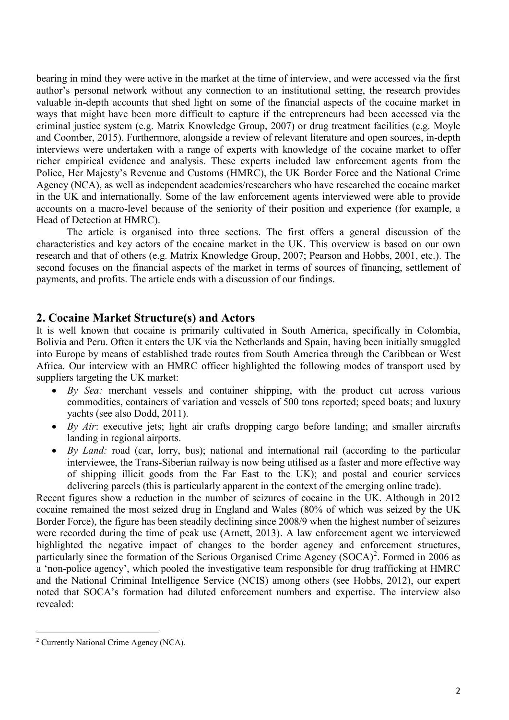bearing in mind they were active in the market at the time of interview, and were accessed via the first author's personal network without any connection to an institutional setting, the research provides valuable in-depth accounts that shed light on some of the financial aspects of the cocaine market in ways that might have been more difficult to capture if the entrepreneurs had been accessed via the criminal justice system (e.g. Matrix Knowledge Group, 2007) or drug treatment facilities (e.g. Moyle and Coomber, 2015). Furthermore, alongside a review of relevant literature and open sources, in-depth interviews were undertaken with a range of experts with knowledge of the cocaine market to offer richer empirical evidence and analysis. These experts included law enforcement agents from the Police, Her Majesty's Revenue and Customs (HMRC), the UK Border Force and the National Crime Agency (NCA), as well as independent academics/researchers who have researched the cocaine market in the UK and internationally. Some of the law enforcement agents interviewed were able to provide accounts on a macro-level because of the seniority of their position and experience (for example, a Head of Detection at HMRC).

The article is organised into three sections. The first offers a general discussion of the characteristics and key actors of the cocaine market in the UK. This overview is based on our own research and that of others (e.g. Matrix Knowledge Group, 2007; Pearson and Hobbs, 2001, etc.). The second focuses on the financial aspects of the market in terms of sources of financing, settlement of payments, and profits. The article ends with a discussion of our findings.

## **2. Cocaine Market Structure(s) and Actors**

It is well known that cocaine is primarily cultivated in South America, specifically in Colombia, Bolivia and Peru. Often it enters the UK via the Netherlands and Spain, having been initially smuggled into Europe by means of established trade routes from South America through the Caribbean or West Africa. Our interview with an HMRC officer highlighted the following modes of transport used by suppliers targeting the UK market:

- *By Sea:* merchant vessels and container shipping, with the product cut across various commodities, containers of variation and vessels of 500 tons reported; speed boats; and luxury yachts (see also Dodd, 2011).
- *By Air*: executive jets; light air crafts dropping cargo before landing; and smaller aircrafts landing in regional airports.
- *By Land:* road (car, lorry, bus); national and international rail (according to the particular interviewee, the Trans-Siberian railway is now being utilised as a faster and more effective way of shipping illicit goods from the Far East to the UK); and postal and courier services delivering parcels (this is particularly apparent in the context of the emerging online trade).

Recent figures show a reduction in the number of seizures of cocaine in the UK. Although in 2012 cocaine remained the most seized drug in England and Wales (80% of which was seized by the UK Border Force), the figure has been steadily declining since 2008/9 when the highest number of seizures were recorded during the time of peak use (Arnett, 2013). A law enforcement agent we interviewed highlighted the negative impact of changes to the border agency and enforcement structures, particularly since the formation of the Serious Organised Crime Agency (SOCA)<sup>2</sup>. Formed in 2006 as a 'non-police agency', which pooled the investigative team responsible for drug trafficking at HMRC and the National Criminal Intelligence Service (NCIS) among others (see Hobbs, 2012), our expert noted that SOCA's formation had diluted enforcement numbers and expertise. The interview also revealed:

 $\overline{a}$ 

<sup>&</sup>lt;sup>2</sup> Currently National Crime Agency (NCA).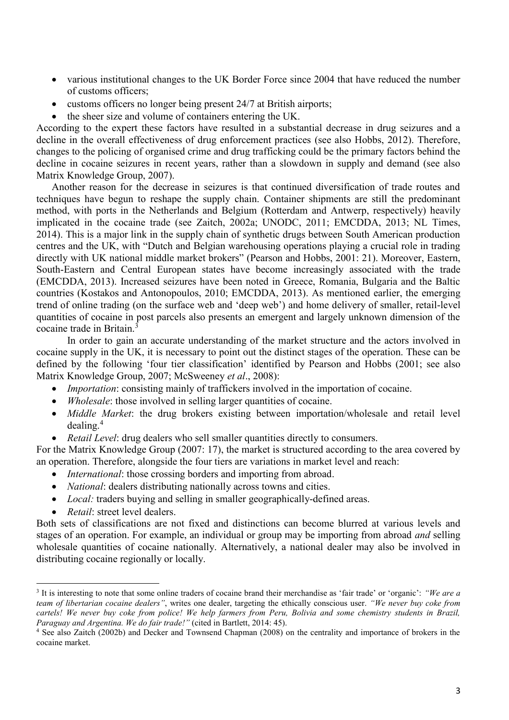- various institutional changes to the UK Border Force since 2004 that have reduced the number of customs officers;
- customs officers no longer being present 24/7 at British airports;
- the sheer size and volume of containers entering the UK.

According to the expert these factors have resulted in a substantial decrease in drug seizures and a decline in the overall effectiveness of drug enforcement practices (see also Hobbs, 2012). Therefore, changes to the policing of organised crime and drug trafficking could be the primary factors behind the decline in cocaine seizures in recent years, rather than a slowdown in supply and demand (see also Matrix Knowledge Group, 2007).

Another reason for the decrease in seizures is that continued diversification of trade routes and techniques have begun to reshape the supply chain. Container shipments are still the predominant method, with ports in the Netherlands and Belgium (Rotterdam and Antwerp, respectively) heavily implicated in the cocaine trade (see Zaitch, 2002a; UNODC, 2011; EMCDDA, 2013; NL Times, 2014). This is a major link in the supply chain of synthetic drugs between South American production centres and the UK, with "Dutch and Belgian warehousing operations playing a crucial role in trading directly with UK national middle market brokers" (Pearson and Hobbs, 2001: 21). Moreover, Eastern, South-Eastern and Central European states have become increasingly associated with the trade (EMCDDA, 2013). Increased seizures have been noted in Greece, Romania, Bulgaria and the Baltic countries (Kostakos and Antonopoulos, 2010; EMCDDA, 2013). As mentioned earlier, the emerging trend of online trading (on the surface web and 'deep web') and home delivery of smaller, retail-level quantities of cocaine in post parcels also presents an emergent and largely unknown dimension of the cocaine trade in Britain.<sup>3</sup>

In order to gain an accurate understanding of the market structure and the actors involved in cocaine supply in the UK, it is necessary to point out the distinct stages of the operation. These can be defined by the following 'four tier classification' identified by Pearson and Hobbs (2001; see also Matrix Knowledge Group, 2007; McSweeney *et al*., 2008):

- *Importation*: consisting mainly of traffickers involved in the importation of cocaine.
- *Wholesale*: those involved in selling larger quantities of cocaine.
- *Middle Market*: the drug brokers existing between importation/wholesale and retail level dealing. 4
- *Retail Level:* drug dealers who sell smaller quantities directly to consumers.

For the Matrix Knowledge Group (2007: 17), the market is structured according to the area covered by an operation. Therefore, alongside the four tiers are variations in market level and reach:

- *International*: those crossing borders and importing from abroad.
- *National:* dealers distributing nationally across towns and cities.
- *Local:* traders buying and selling in smaller geographically-defined areas.
- *Retail*: street level dealers.

 $\ddot{\phantom{a}}$ 

Both sets of classifications are not fixed and distinctions can become blurred at various levels and stages of an operation. For example, an individual or group may be importing from abroad *and* selling wholesale quantities of cocaine nationally. Alternatively, a national dealer may also be involved in distributing cocaine regionally or locally.

<sup>3</sup> It is interesting to note that some online traders of cocaine brand their merchandise as 'fair trade' or 'organic': *"We are a team of libertarian cocaine dealers"*, writes one dealer, targeting the ethically conscious user. *"We never buy coke from cartels! We never buy coke from police! We help farmers from Peru, Bolivia and some chemistry students in Brazil, Paraguay and Argentina. We do fair trade!"* (cited in Bartlett, 2014: 45).

<sup>&</sup>lt;sup>4</sup> See also Zaitch (2002b) and Decker and Townsend Chapman (2008) on the centrality and importance of brokers in the cocaine market.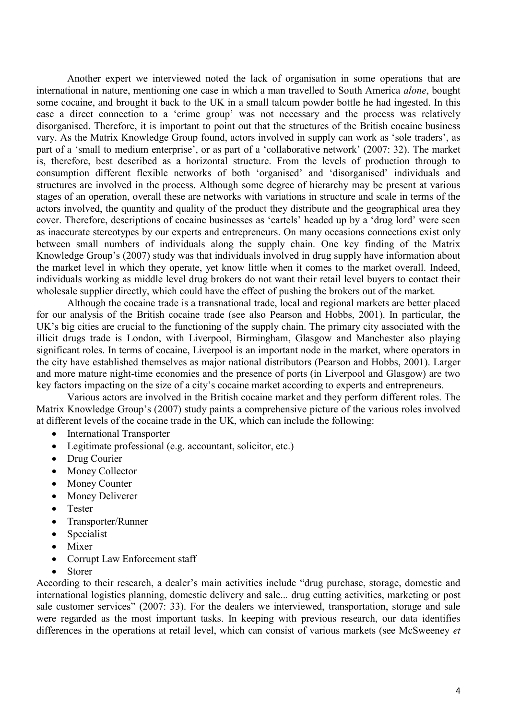Another expert we interviewed noted the lack of organisation in some operations that are international in nature, mentioning one case in which a man travelled to South America *alone*, bought some cocaine, and brought it back to the UK in a small talcum powder bottle he had ingested. In this case a direct connection to a 'crime group' was not necessary and the process was relatively disorganised. Therefore, it is important to point out that the structures of the British cocaine business vary. As the Matrix Knowledge Group found, actors involved in supply can work as 'sole traders', as part of a 'small to medium enterprise', or as part of a 'collaborative network' (2007: 32). The market is, therefore, best described as a horizontal structure. From the levels of production through to consumption different flexible networks of both 'organised' and 'disorganised' individuals and structures are involved in the process. Although some degree of hierarchy may be present at various stages of an operation, overall these are networks with variations in structure and scale in terms of the actors involved, the quantity and quality of the product they distribute and the geographical area they cover. Therefore, descriptions of cocaine businesses as 'cartels' headed up by a 'drug lord' were seen as inaccurate stereotypes by our experts and entrepreneurs. On many occasions connections exist only between small numbers of individuals along the supply chain. One key finding of the Matrix Knowledge Group's (2007) study was that individuals involved in drug supply have information about the market level in which they operate, yet know little when it comes to the market overall. Indeed, individuals working as middle level drug brokers do not want their retail level buyers to contact their wholesale supplier directly, which could have the effect of pushing the brokers out of the market.

Although the cocaine trade is a transnational trade, local and regional markets are better placed for our analysis of the British cocaine trade (see also Pearson and Hobbs, 2001). In particular, the UK's big cities are crucial to the functioning of the supply chain. The primary city associated with the illicit drugs trade is London, with Liverpool, Birmingham, Glasgow and Manchester also playing significant roles. In terms of cocaine, Liverpool is an important node in the market, where operators in the city have established themselves as major national distributors (Pearson and Hobbs, 2001). Larger and more mature night-time economies and the presence of ports (in Liverpool and Glasgow) are two key factors impacting on the size of a city's cocaine market according to experts and entrepreneurs.

Various actors are involved in the British cocaine market and they perform different roles. The Matrix Knowledge Group's (2007) study paints a comprehensive picture of the various roles involved at different levels of the cocaine trade in the UK, which can include the following:

- International Transporter
- Legitimate professional (e.g. accountant, solicitor, etc.)
- Drug Courier
- Money Collector
- Money Counter
- Money Deliverer
- Tester
- Transporter/Runner
- Specialist
- Mixer
- Corrupt Law Enforcement staff
- Storer

According to their research, a dealer's main activities include "drug purchase, storage, domestic and international logistics planning, domestic delivery and sale..*.* drug cutting activities, marketing or post sale customer services" (2007: 33). For the dealers we interviewed, transportation, storage and sale were regarded as the most important tasks. In keeping with previous research, our data identifies differences in the operations at retail level, which can consist of various markets (see McSweeney *et*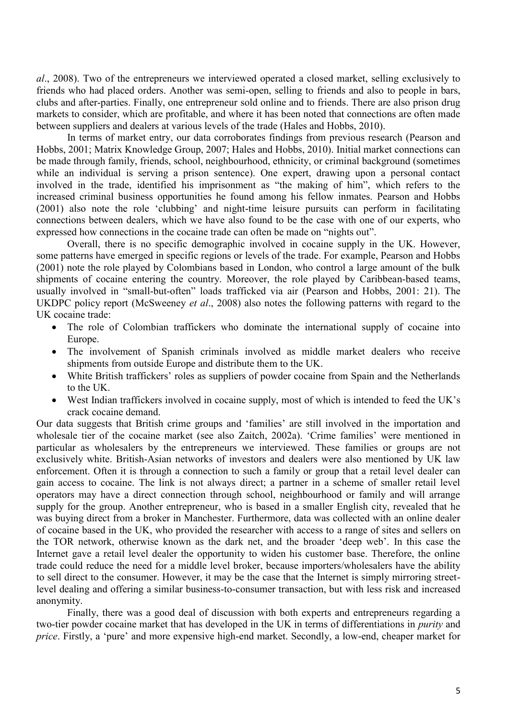*al*., 2008). Two of the entrepreneurs we interviewed operated a closed market, selling exclusively to friends who had placed orders. Another was semi-open, selling to friends and also to people in bars, clubs and after-parties. Finally, one entrepreneur sold online and to friends. There are also prison drug markets to consider, which are profitable, and where it has been noted that connections are often made between suppliers and dealers at various levels of the trade (Hales and Hobbs, 2010).

In terms of market entry, our data corroborates findings from previous research (Pearson and Hobbs, 2001; Matrix Knowledge Group, 2007; Hales and Hobbs, 2010). Initial market connections can be made through family, friends, school, neighbourhood, ethnicity, or criminal background (sometimes while an individual is serving a prison sentence). One expert, drawing upon a personal contact involved in the trade, identified his imprisonment as "the making of him", which refers to the increased criminal business opportunities he found among his fellow inmates. Pearson and Hobbs (2001) also note the role 'clubbing' and night-time leisure pursuits can perform in facilitating connections between dealers, which we have also found to be the case with one of our experts, who expressed how connections in the cocaine trade can often be made on "nights out".

Overall, there is no specific demographic involved in cocaine supply in the UK. However, some patterns have emerged in specific regions or levels of the trade. For example, Pearson and Hobbs (2001) note the role played by Colombians based in London, who control a large amount of the bulk shipments of cocaine entering the country. Moreover, the role played by Caribbean-based teams, usually involved in "small-but-often" loads trafficked via air (Pearson and Hobbs, 2001: 21). The UKDPC policy report (McSweeney *et al*., 2008) also notes the following patterns with regard to the UK cocaine trade:

- The role of Colombian traffickers who dominate the international supply of cocaine into Europe.
- The involvement of Spanish criminals involved as middle market dealers who receive shipments from outside Europe and distribute them to the UK.
- White British traffickers' roles as suppliers of powder cocaine from Spain and the Netherlands to the UK.
- West Indian traffickers involved in cocaine supply, most of which is intended to feed the UK's crack cocaine demand.

Our data suggests that British crime groups and 'families' are still involved in the importation and wholesale tier of the cocaine market (see also Zaitch, 2002a). 'Crime families' were mentioned in particular as wholesalers by the entrepreneurs we interviewed. These families or groups are not exclusively white. British-Asian networks of investors and dealers were also mentioned by UK law enforcement. Often it is through a connection to such a family or group that a retail level dealer can gain access to cocaine. The link is not always direct; a partner in a scheme of smaller retail level operators may have a direct connection through school, neighbourhood or family and will arrange supply for the group. Another entrepreneur, who is based in a smaller English city, revealed that he was buying direct from a broker in Manchester. Furthermore, data was collected with an online dealer of cocaine based in the UK, who provided the researcher with access to a range of sites and sellers on the TOR network, otherwise known as the dark net, and the broader 'deep web'. In this case the Internet gave a retail level dealer the opportunity to widen his customer base. Therefore, the online trade could reduce the need for a middle level broker, because importers/wholesalers have the ability to sell direct to the consumer. However, it may be the case that the Internet is simply mirroring streetlevel dealing and offering a similar business-to-consumer transaction, but with less risk and increased anonymity.

Finally, there was a good deal of discussion with both experts and entrepreneurs regarding a two-tier powder cocaine market that has developed in the UK in terms of differentiations in *purity* and *price*. Firstly, a 'pure' and more expensive high-end market. Secondly, a low-end, cheaper market for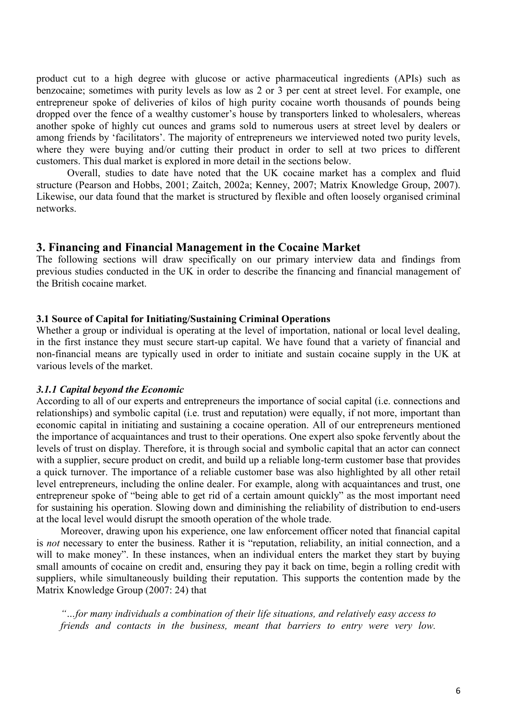product cut to a high degree with glucose or active pharmaceutical ingredients (APIs) such as benzocaine; sometimes with purity levels as low as 2 or 3 per cent at street level. For example, one entrepreneur spoke of deliveries of kilos of high purity cocaine worth thousands of pounds being dropped over the fence of a wealthy customer's house by transporters linked to wholesalers, whereas another spoke of highly cut ounces and grams sold to numerous users at street level by dealers or among friends by 'facilitators'. The majority of entrepreneurs we interviewed noted two purity levels, where they were buying and/or cutting their product in order to sell at two prices to different customers. This dual market is explored in more detail in the sections below.

Overall, studies to date have noted that the UK cocaine market has a complex and fluid structure (Pearson and Hobbs, 2001; Zaitch, 2002a; Kenney, 2007; Matrix Knowledge Group, 2007). Likewise, our data found that the market is structured by flexible and often loosely organised criminal networks.

## **3. Financing and Financial Management in the Cocaine Market**

The following sections will draw specifically on our primary interview data and findings from previous studies conducted in the UK in order to describe the financing and financial management of the British cocaine market.

### **3.1 Source of Capital for Initiating/Sustaining Criminal Operations**

Whether a group or individual is operating at the level of importation, national or local level dealing, in the first instance they must secure start-up capital. We have found that a variety of financial and non-financial means are typically used in order to initiate and sustain cocaine supply in the UK at various levels of the market.

## *3.1.1 Capital beyond the Economic*

According to all of our experts and entrepreneurs the importance of social capital (i.e. connections and relationships) and symbolic capital (i.e. trust and reputation) were equally, if not more, important than economic capital in initiating and sustaining a cocaine operation. All of our entrepreneurs mentioned the importance of acquaintances and trust to their operations. One expert also spoke fervently about the levels of trust on display. Therefore, it is through social and symbolic capital that an actor can connect with a supplier, secure product on credit, and build up a reliable long-term customer base that provides a quick turnover. The importance of a reliable customer base was also highlighted by all other retail level entrepreneurs, including the online dealer. For example, along with acquaintances and trust, one entrepreneur spoke of "being able to get rid of a certain amount quickly" as the most important need for sustaining his operation. Slowing down and diminishing the reliability of distribution to end-users at the local level would disrupt the smooth operation of the whole trade.

Moreover, drawing upon his experience, one law enforcement officer noted that financial capital is *not* necessary to enter the business. Rather it is "reputation, reliability, an initial connection, and a will to make money". In these instances, when an individual enters the market they start by buying small amounts of cocaine on credit and, ensuring they pay it back on time, begin a rolling credit with suppliers, while simultaneously building their reputation. This supports the contention made by the Matrix Knowledge Group (2007: 24) that

*"…for many individuals a combination of their life situations, and relatively easy access to friends and contacts in the business, meant that barriers to entry were very low.*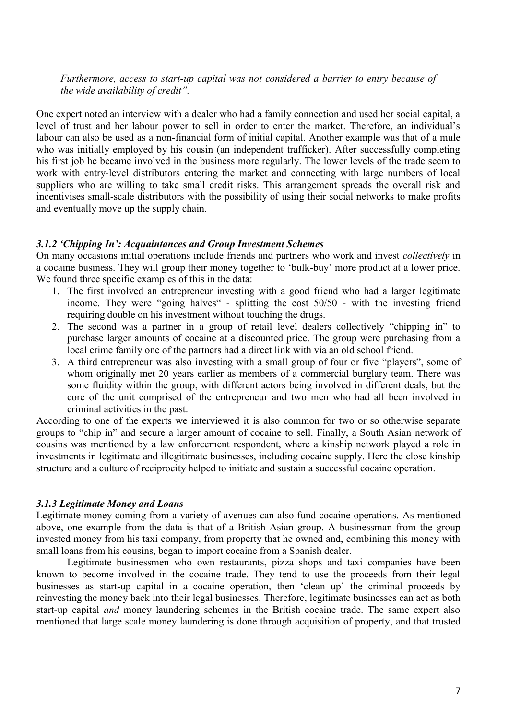*Furthermore, access to start-up capital was not considered a barrier to entry because of the wide availability of credit".* 

One expert noted an interview with a dealer who had a family connection and used her social capital, a level of trust and her labour power to sell in order to enter the market. Therefore, an individual's labour can also be used as a non-financial form of initial capital. Another example was that of a mule who was initially employed by his cousin (an independent trafficker). After successfully completing his first job he became involved in the business more regularly. The lower levels of the trade seem to work with entry-level distributors entering the market and connecting with large numbers of local suppliers who are willing to take small credit risks. This arrangement spreads the overall risk and incentivises small-scale distributors with the possibility of using their social networks to make profits and eventually move up the supply chain.

### *3.1.2 'Chipping In': Acquaintances and Group Investment Schemes*

On many occasions initial operations include friends and partners who work and invest *collectively* in a cocaine business. They will group their money together to 'bulk-buy' more product at a lower price. We found three specific examples of this in the data:

- 1. The first involved an entrepreneur investing with a good friend who had a larger legitimate income. They were "going halves" - splitting the cost 50/50 - with the investing friend requiring double on his investment without touching the drugs.
- 2. The second was a partner in a group of retail level dealers collectively "chipping in" to purchase larger amounts of cocaine at a discounted price. The group were purchasing from a local crime family one of the partners had a direct link with via an old school friend.
- 3. A third entrepreneur was also investing with a small group of four or five "players", some of whom originally met 20 years earlier as members of a commercial burglary team. There was some fluidity within the group, with different actors being involved in different deals, but the core of the unit comprised of the entrepreneur and two men who had all been involved in criminal activities in the past.

According to one of the experts we interviewed it is also common for two or so otherwise separate groups to "chip in" and secure a larger amount of cocaine to sell. Finally, a South Asian network of cousins was mentioned by a law enforcement respondent, where a kinship network played a role in investments in legitimate and illegitimate businesses, including cocaine supply. Here the close kinship structure and a culture of reciprocity helped to initiate and sustain a successful cocaine operation.

#### *3.1.3 Legitimate Money and Loans*

Legitimate money coming from a variety of avenues can also fund cocaine operations. As mentioned above, one example from the data is that of a British Asian group. A businessman from the group invested money from his taxi company, from property that he owned and, combining this money with small loans from his cousins, began to import cocaine from a Spanish dealer.

Legitimate businessmen who own restaurants, pizza shops and taxi companies have been known to become involved in the cocaine trade. They tend to use the proceeds from their legal businesses as start-up capital in a cocaine operation, then 'clean up' the criminal proceeds by reinvesting the money back into their legal businesses. Therefore, legitimate businesses can act as both start-up capital *and* money laundering schemes in the British cocaine trade. The same expert also mentioned that large scale money laundering is done through acquisition of property, and that trusted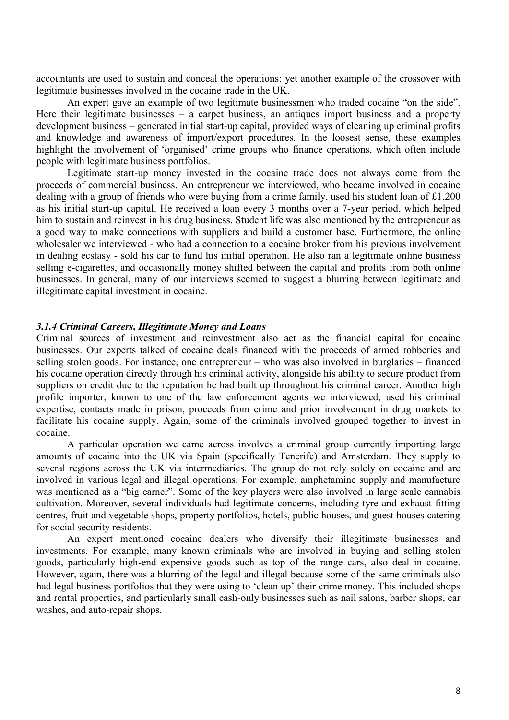accountants are used to sustain and conceal the operations; yet another example of the crossover with legitimate businesses involved in the cocaine trade in the UK.

An expert gave an example of two legitimate businessmen who traded cocaine "on the side". Here their legitimate businesses – a carpet business, an antiques import business and a property development business – generated initial start-up capital, provided ways of cleaning up criminal profits and knowledge and awareness of import/export procedures. In the loosest sense, these examples highlight the involvement of 'organised' crime groups who finance operations, which often include people with legitimate business portfolios.

Legitimate start-up money invested in the cocaine trade does not always come from the proceeds of commercial business. An entrepreneur we interviewed, who became involved in cocaine dealing with a group of friends who were buying from a crime family, used his student loan of £1,200 as his initial start-up capital. He received a loan every 3 months over a 7-year period, which helped him to sustain and reinvest in his drug business. Student life was also mentioned by the entrepreneur as a good way to make connections with suppliers and build a customer base. Furthermore, the online wholesaler we interviewed - who had a connection to a cocaine broker from his previous involvement in dealing ecstasy - sold his car to fund his initial operation. He also ran a legitimate online business selling e-cigarettes, and occasionally money shifted between the capital and profits from both online businesses. In general, many of our interviews seemed to suggest a blurring between legitimate and illegitimate capital investment in cocaine.

### *3.1.4 Criminal Careers, Illegitimate Money and Loans*

Criminal sources of investment and reinvestment also act as the financial capital for cocaine businesses. Our experts talked of cocaine deals financed with the proceeds of armed robberies and selling stolen goods. For instance, one entrepreneur – who was also involved in burglaries – financed his cocaine operation directly through his criminal activity, alongside his ability to secure product from suppliers on credit due to the reputation he had built up throughout his criminal career. Another high profile importer, known to one of the law enforcement agents we interviewed, used his criminal expertise, contacts made in prison, proceeds from crime and prior involvement in drug markets to facilitate his cocaine supply. Again, some of the criminals involved grouped together to invest in cocaine.

A particular operation we came across involves a criminal group currently importing large amounts of cocaine into the UK via Spain (specifically Tenerife) and Amsterdam. They supply to several regions across the UK via intermediaries. The group do not rely solely on cocaine and are involved in various legal and illegal operations. For example, amphetamine supply and manufacture was mentioned as a "big earner". Some of the key players were also involved in large scale cannabis cultivation. Moreover, several individuals had legitimate concerns, including tyre and exhaust fitting centres, fruit and vegetable shops, property portfolios, hotels, public houses, and guest houses catering for social security residents.

An expert mentioned cocaine dealers who diversify their illegitimate businesses and investments. For example, many known criminals who are involved in buying and selling stolen goods, particularly high-end expensive goods such as top of the range cars, also deal in cocaine. However, again, there was a blurring of the legal and illegal because some of the same criminals also had legal business portfolios that they were using to 'clean up' their crime money. This included shops and rental properties, and particularly small cash-only businesses such as nail salons, barber shops, car washes, and auto-repair shops.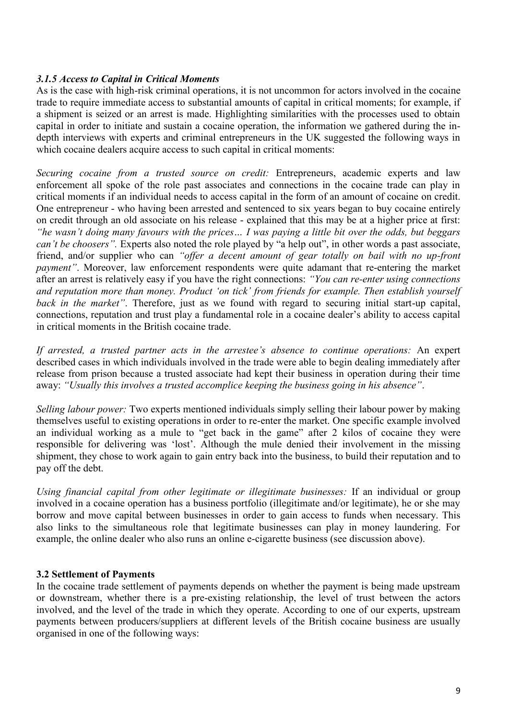# *3.1.5 Access to Capital in Critical Moments*

As is the case with high-risk criminal operations, it is not uncommon for actors involved in the cocaine trade to require immediate access to substantial amounts of capital in critical moments; for example, if a shipment is seized or an arrest is made. Highlighting similarities with the processes used to obtain capital in order to initiate and sustain a cocaine operation, the information we gathered during the indepth interviews with experts and criminal entrepreneurs in the UK suggested the following ways in which cocaine dealers acquire access to such capital in critical moments:

*Securing cocaine from a trusted source on credit:* Entrepreneurs, academic experts and law enforcement all spoke of the role past associates and connections in the cocaine trade can play in critical moments if an individual needs to access capital in the form of an amount of cocaine on credit. One entrepreneur - who having been arrested and sentenced to six years began to buy cocaine entirely on credit through an old associate on his release - explained that this may be at a higher price at first: *"he wasn't doing many favours with the prices… I was paying a little bit over the odds, but beggars can't be choosers"*. Experts also noted the role played by "a help out", in other words a past associate, friend, and/or supplier who can *"offer a decent amount of gear totally on bail with no up-front payment*". Moreover, law enforcement respondents were quite adamant that re-entering the market after an arrest is relatively easy if you have the right connections: *"You can re-enter using connections and reputation more than money. Product 'on tick' from friends for example. Then establish yourself back in the market"*. Therefore, just as we found with regard to securing initial start-up capital, connections, reputation and trust play a fundamental role in a cocaine dealer's ability to access capital in critical moments in the British cocaine trade.

*If arrested, a trusted partner acts in the arrestee's absence to continue operations:* An expert described cases in which individuals involved in the trade were able to begin dealing immediately after release from prison because a trusted associate had kept their business in operation during their time away: *"Usually this involves a trusted accomplice keeping the business going in his absence"*.

*Selling labour power:* Two experts mentioned individuals simply selling their labour power by making themselves useful to existing operations in order to re-enter the market. One specific example involved an individual working as a mule to "get back in the game" after 2 kilos of cocaine they were responsible for delivering was 'lost'. Although the mule denied their involvement in the missing shipment, they chose to work again to gain entry back into the business, to build their reputation and to pay off the debt.

*Using financial capital from other legitimate or illegitimate businesses:* If an individual or group involved in a cocaine operation has a business portfolio (illegitimate and/or legitimate), he or she may borrow and move capital between businesses in order to gain access to funds when necessary. This also links to the simultaneous role that legitimate businesses can play in money laundering. For example, the online dealer who also runs an online e-cigarette business (see discussion above).

## **3.2 Settlement of Payments**

In the cocaine trade settlement of payments depends on whether the payment is being made upstream or downstream, whether there is a pre-existing relationship, the level of trust between the actors involved, and the level of the trade in which they operate. According to one of our experts, upstream payments between producers/suppliers at different levels of the British cocaine business are usually organised in one of the following ways: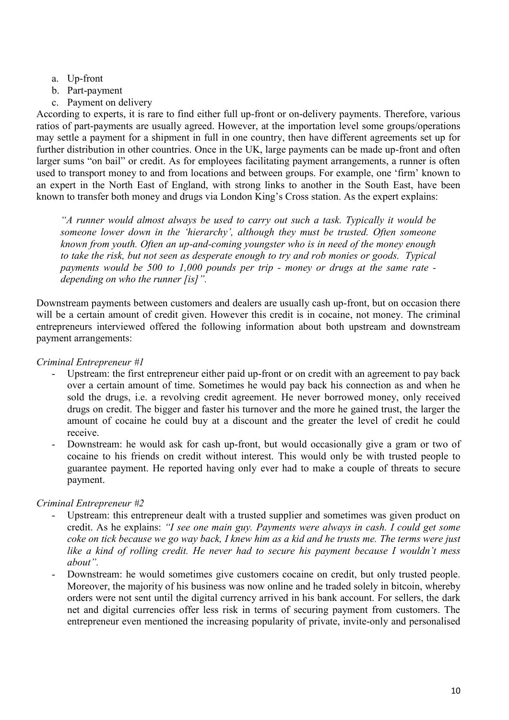- a. Up-front
- b. Part-payment
- c. Payment on delivery

According to experts, it is rare to find either full up-front or on-delivery payments. Therefore, various ratios of part-payments are usually agreed. However, at the importation level some groups/operations may settle a payment for a shipment in full in one country, then have different agreements set up for further distribution in other countries. Once in the UK, large payments can be made up-front and often larger sums "on bail" or credit. As for employees facilitating payment arrangements, a runner is often used to transport money to and from locations and between groups. For example, one 'firm' known to an expert in the North East of England, with strong links to another in the South East, have been known to transfer both money and drugs via London King's Cross station. As the expert explains:

*"A runner would almost always be used to carry out such a task. Typically it would be someone lower down in the 'hierarchy', although they must be trusted. Often someone known from youth. Often an up-and-coming youngster who is in need of the money enough to take the risk, but not seen as desperate enough to try and rob monies or goods. Typical payments would be 500 to 1,000 pounds per trip - money or drugs at the same rate depending on who the runner [is]".* 

Downstream payments between customers and dealers are usually cash up-front, but on occasion there will be a certain amount of credit given. However this credit is in cocaine, not money. The criminal entrepreneurs interviewed offered the following information about both upstream and downstream payment arrangements:

## *Criminal Entrepreneur #1*

- Upstream: the first entrepreneur either paid up-front or on credit with an agreement to pay back over a certain amount of time. Sometimes he would pay back his connection as and when he sold the drugs, i.e. a revolving credit agreement. He never borrowed money, only received drugs on credit. The bigger and faster his turnover and the more he gained trust, the larger the amount of cocaine he could buy at a discount and the greater the level of credit he could receive.
- Downstream: he would ask for cash up-front, but would occasionally give a gram or two of cocaine to his friends on credit without interest. This would only be with trusted people to guarantee payment. He reported having only ever had to make a couple of threats to secure payment.

# *Criminal Entrepreneur #2*

- Upstream: this entrepreneur dealt with a trusted supplier and sometimes was given product on credit. As he explains: *"I see one main guy. Payments were always in cash. I could get some coke on tick because we go way back, I knew him as a kid and he trusts me. The terms were just like a kind of rolling credit. He never had to secure his payment because I wouldn't mess about".*
- Downstream: he would sometimes give customers cocaine on credit, but only trusted people. Moreover, the majority of his business was now online and he traded solely in bitcoin, whereby orders were not sent until the digital currency arrived in his bank account. For sellers, the dark net and digital currencies offer less risk in terms of securing payment from customers. The entrepreneur even mentioned the increasing popularity of private, invite-only and personalised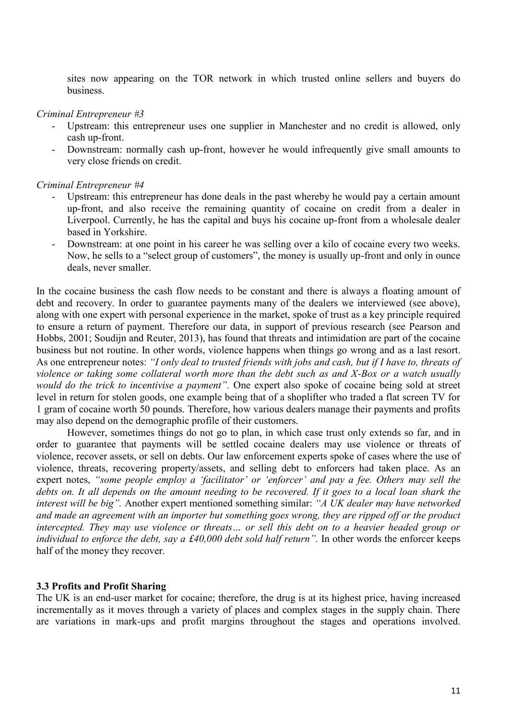sites now appearing on the TOR network in which trusted online sellers and buyers do business.

### *Criminal Entrepreneur #3*

- Upstream: this entrepreneur uses one supplier in Manchester and no credit is allowed, only cash up-front.
- Downstream: normally cash up-front, however he would infrequently give small amounts to very close friends on credit.

### *Criminal Entrepreneur #4*

- Upstream: this entrepreneur has done deals in the past whereby he would pay a certain amount up-front, and also receive the remaining quantity of cocaine on credit from a dealer in Liverpool. Currently, he has the capital and buys his cocaine up-front from a wholesale dealer based in Yorkshire.
- Downstream: at one point in his career he was selling over a kilo of cocaine every two weeks. Now, he sells to a "select group of customers", the money is usually up-front and only in ounce deals, never smaller.

In the cocaine business the cash flow needs to be constant and there is always a floating amount of debt and recovery. In order to guarantee payments many of the dealers we interviewed (see above), along with one expert with personal experience in the market, spoke of trust as a key principle required to ensure a return of payment. Therefore our data, in support of previous research (see Pearson and Hobbs, 2001; Soudijn and Reuter, 2013), has found that threats and intimidation are part of the cocaine business but not routine. In other words, violence happens when things go wrong and as a last resort. As one entrepreneur notes: *"I only deal to trusted friends with jobs and cash, but if I have to, threats of violence or taking some collateral worth more than the debt such as and X-Box or a watch usually would do the trick to incentivise a payment".* One expert also spoke of cocaine being sold at street level in return for stolen goods, one example being that of a shoplifter who traded a flat screen TV for 1 gram of cocaine worth 50 pounds. Therefore, how various dealers manage their payments and profits may also depend on the demographic profile of their customers.

However, sometimes things do not go to plan, in which case trust only extends so far, and in order to guarantee that payments will be settled cocaine dealers may use violence or threats of violence, recover assets, or sell on debts. Our law enforcement experts spoke of cases where the use of violence, threats, recovering property/assets, and selling debt to enforcers had taken place. As an expert notes, *"some people employ a 'facilitator' or 'enforcer' and pay a fee. Others may sell the debts on. It all depends on the amount needing to be recovered. If it goes to a local loan shark the interest will be big".* Another expert mentioned something similar: *"A UK dealer may have networked and made an agreement with an importer but something goes wrong, they are ripped off or the product intercepted. They may use violence or threats… or sell this debt on to a heavier headed group or individual to enforce the debt, say a £40,000 debt sold half return".* In other words the enforcer keeps half of the money they recover.

# **3.3 Profits and Profit Sharing**

The UK is an end-user market for cocaine; therefore, the drug is at its highest price, having increased incrementally as it moves through a variety of places and complex stages in the supply chain. There are variations in mark-ups and profit margins throughout the stages and operations involved.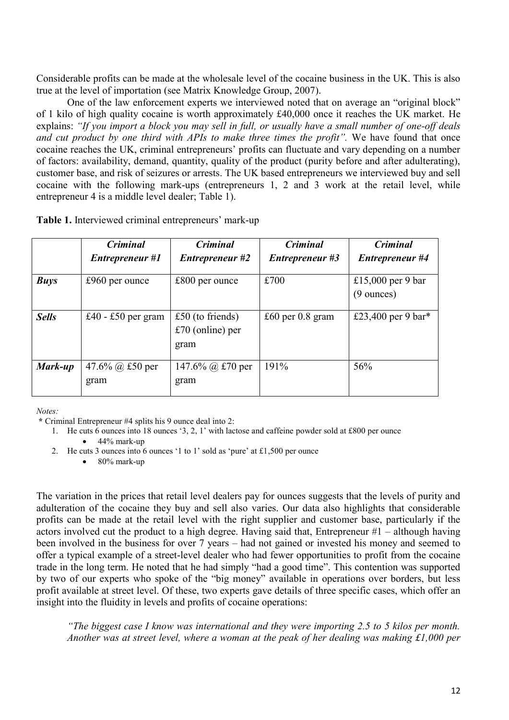Considerable profits can be made at the wholesale level of the cocaine business in the UK. This is also true at the level of importation (see Matrix Knowledge Group, 2007).

One of the law enforcement experts we interviewed noted that on average an "original block" of 1 kilo of high quality cocaine is worth approximately £40,000 once it reaches the UK market. He explains: *"If you import a block you may sell in full, or usually have a small number of one-off deals and cut product by one third with APIs to make three times the profit".* We have found that once cocaine reaches the UK, criminal entrepreneurs' profits can fluctuate and vary depending on a number of factors: availability, demand, quantity, quality of the product (purity before and after adulterating), customer base, and risk of seizures or arrests. The UK based entrepreneurs we interviewed buy and sell cocaine with the following mark-ups (entrepreneurs 1, 2 and 3 work at the retail level, while entrepreneur 4 is a middle level dealer; Table 1).

|              | <b>Criminal</b>           | <b>Criminal</b>                                | Criminal               | <b>Criminal</b>                           |
|--------------|---------------------------|------------------------------------------------|------------------------|-------------------------------------------|
|              | Entrepreneur #1           | <b>Entrepreneur</b> #2                         | <b>Entrepreneur #3</b> | <b>Entrepreneur #4</b>                    |
| <b>Buys</b>  | $£960$ per ounce          | $£800$ per ounce                               | £700                   | £15,000 per 9 bar<br>$(9 \text{ ounces})$ |
| <b>Sells</b> | £40 - £50 per gram        | £50 (to friends)<br>$£70$ (online) per<br>gram | £60 per $0.8$ gram     | £23,400 per 9 bar*                        |
| Mark-up      | 47.6% (a) £50 per<br>gram | 147.6% $\omega$ £70 per<br>gram                | 191%                   | 56%                                       |

*Notes:* 

**\*** Criminal Entrepreneur #4 splits his 9 ounce deal into 2:

1. He cuts 6 ounces into 18 ounces '3, 2, 1' with lactose and caffeine powder sold at £800 per ounce

 $\bullet$  44% mark-up

2. He cuts 3 ounces into 6 ounces '1 to 1' sold as 'pure' at £1,500 per ounce

 $\bullet$  80% mark-up

The variation in the prices that retail level dealers pay for ounces suggests that the levels of purity and adulteration of the cocaine they buy and sell also varies. Our data also highlights that considerable profits can be made at the retail level with the right supplier and customer base, particularly if the actors involved cut the product to a high degree. Having said that, Entrepreneur #1 – although having been involved in the business for over 7 years – had not gained or invested his money and seemed to offer a typical example of a street-level dealer who had fewer opportunities to profit from the cocaine trade in the long term. He noted that he had simply "had a good time". This contention was supported by two of our experts who spoke of the "big money" available in operations over borders, but less profit available at street level. Of these, two experts gave details of three specific cases, which offer an insight into the fluidity in levels and profits of cocaine operations:

*"The biggest case I know was international and they were importing 2.5 to 5 kilos per month. Another was at street level, where a woman at the peak of her dealing was making £1,000 per*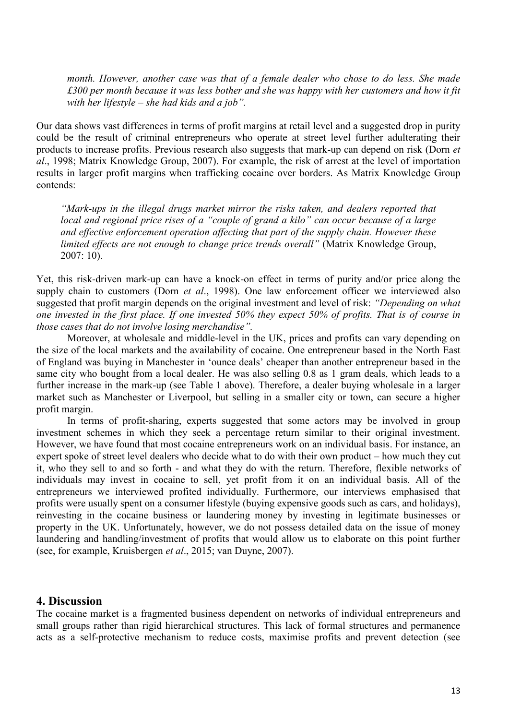*month. However, another case was that of a female dealer who chose to do less. She made £300 per month because it was less bother and she was happy with her customers and how it fit with her lifestyle – she had kids and a job".* 

Our data shows vast differences in terms of profit margins at retail level and a suggested drop in purity could be the result of criminal entrepreneurs who operate at street level further adulterating their products to increase profits. Previous research also suggests that mark-up can depend on risk (Dorn *et al*., 1998; Matrix Knowledge Group, 2007). For example, the risk of arrest at the level of importation results in larger profit margins when trafficking cocaine over borders. As Matrix Knowledge Group contends:

*"Mark-ups in the illegal drugs market mirror the risks taken, and dealers reported that local and regional price rises of a "couple of grand a kilo" can occur because of a large and effective enforcement operation affecting that part of the supply chain. However these limited effects are not enough to change price trends overall"* (Matrix Knowledge Group, 2007: 10).

Yet, this risk-driven mark-up can have a knock-on effect in terms of purity and/or price along the supply chain to customers (Dorn *et al*., 1998). One law enforcement officer we interviewed also suggested that profit margin depends on the original investment and level of risk: *"Depending on what one invested in the first place. If one invested 50% they expect 50% of profits. That is of course in those cases that do not involve losing merchandise".* 

Moreover, at wholesale and middle-level in the UK, prices and profits can vary depending on the size of the local markets and the availability of cocaine. One entrepreneur based in the North East of England was buying in Manchester in 'ounce deals' cheaper than another entrepreneur based in the same city who bought from a local dealer. He was also selling 0.8 as 1 gram deals, which leads to a further increase in the mark-up (see Table 1 above). Therefore, a dealer buying wholesale in a larger market such as Manchester or Liverpool, but selling in a smaller city or town, can secure a higher profit margin.

In terms of profit-sharing, experts suggested that some actors may be involved in group investment schemes in which they seek a percentage return similar to their original investment. However, we have found that most cocaine entrepreneurs work on an individual basis. For instance, an expert spoke of street level dealers who decide what to do with their own product – how much they cut it, who they sell to and so forth - and what they do with the return. Therefore, flexible networks of individuals may invest in cocaine to sell, yet profit from it on an individual basis. All of the entrepreneurs we interviewed profited individually. Furthermore, our interviews emphasised that profits were usually spent on a consumer lifestyle (buying expensive goods such as cars, and holidays), reinvesting in the cocaine business or laundering money by investing in legitimate businesses or property in the UK. Unfortunately, however, we do not possess detailed data on the issue of money laundering and handling/investment of profits that would allow us to elaborate on this point further (see, for example, Kruisbergen *et al*., 2015; van Duyne, 2007).

## **4. Discussion**

The cocaine market is a fragmented business dependent on networks of individual entrepreneurs and small groups rather than rigid hierarchical structures. This lack of formal structures and permanence acts as a self-protective mechanism to reduce costs, maximise profits and prevent detection (see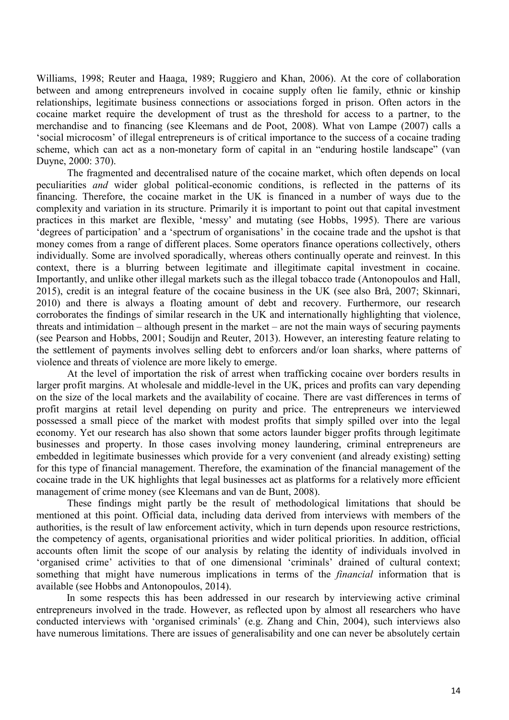Williams, 1998; Reuter and Haaga, 1989; Ruggiero and Khan, 2006). At the core of collaboration between and among entrepreneurs involved in cocaine supply often lie family, ethnic or kinship relationships, legitimate business connections or associations forged in prison. Often actors in the cocaine market require the development of trust as the threshold for access to a partner, to the merchandise and to financing (see Kleemans and de Poot, 2008). What von Lampe (2007) calls a 'social microcosm' of illegal entrepreneurs is of critical importance to the success of a cocaine trading scheme, which can act as a non-monetary form of capital in an "enduring hostile landscape" (van Duyne, 2000: 370).

The fragmented and decentralised nature of the cocaine market, which often depends on local peculiarities *and* wider global political-economic conditions, is reflected in the patterns of its financing. Therefore, the cocaine market in the UK is financed in a number of ways due to the complexity and variation in its structure. Primarily it is important to point out that capital investment practices in this market are flexible, 'messy' and mutating (see Hobbs, 1995). There are various 'degrees of participation' and a 'spectrum of organisations' in the cocaine trade and the upshot is that money comes from a range of different places. Some operators finance operations collectively, others individually. Some are involved sporadically, whereas others continually operate and reinvest. In this context, there is a blurring between legitimate and illegitimate capital investment in cocaine. Importantly, and unlike other illegal markets such as the illegal tobacco trade (Antonopoulos and Hall, 2015), credit is an integral feature of the cocaine business in the UK (see also Brå, 2007; Skinnari, 2010) and there is always a floating amount of debt and recovery. Furthermore, our research corroborates the findings of similar research in the UK and internationally highlighting that violence, threats and intimidation – although present in the market – are not the main ways of securing payments (see Pearson and Hobbs, 2001; Soudijn and Reuter, 2013). However, an interesting feature relating to the settlement of payments involves selling debt to enforcers and/or loan sharks, where patterns of violence and threats of violence are more likely to emerge.

At the level of importation the risk of arrest when trafficking cocaine over borders results in larger profit margins. At wholesale and middle-level in the UK, prices and profits can vary depending on the size of the local markets and the availability of cocaine. There are vast differences in terms of profit margins at retail level depending on purity and price. The entrepreneurs we interviewed possessed a small piece of the market with modest profits that simply spilled over into the legal economy. Yet our research has also shown that some actors launder bigger profits through legitimate businesses and property. In those cases involving money laundering, criminal entrepreneurs are embedded in legitimate businesses which provide for a very convenient (and already existing) setting for this type of financial management. Therefore, the examination of the financial management of the cocaine trade in the UK highlights that legal businesses act as platforms for a relatively more efficient management of crime money (see Kleemans and van de Bunt, 2008).

These findings might partly be the result of methodological limitations that should be mentioned at this point. Official data, including data derived from interviews with members of the authorities, is the result of law enforcement activity, which in turn depends upon resource restrictions, the competency of agents, organisational priorities and wider political priorities. In addition, official accounts often limit the scope of our analysis by relating the identity of individuals involved in 'organised crime' activities to that of one dimensional 'criminals' drained of cultural context; something that might have numerous implications in terms of the *financial* information that is available (see Hobbs and Antonopoulos, 2014).

In some respects this has been addressed in our research by interviewing active criminal entrepreneurs involved in the trade. However, as reflected upon by almost all researchers who have conducted interviews with 'organised criminals' (e.g. Zhang and Chin, 2004), such interviews also have numerous limitations. There are issues of generalisability and one can never be absolutely certain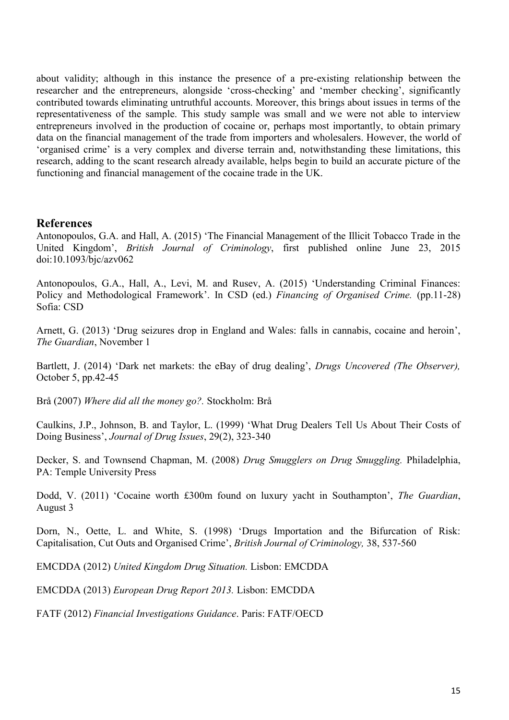about validity; although in this instance the presence of a pre-existing relationship between the researcher and the entrepreneurs, alongside 'cross-checking' and 'member checking', significantly contributed towards eliminating untruthful accounts. Moreover, this brings about issues in terms of the representativeness of the sample. This study sample was small and we were not able to interview entrepreneurs involved in the production of cocaine or, perhaps most importantly, to obtain primary data on the financial management of the trade from importers and wholesalers. However, the world of 'organised crime' is a very complex and diverse terrain and, notwithstanding these limitations, this research, adding to the scant research already available, helps begin to build an accurate picture of the functioning and financial management of the cocaine trade in the UK.

# **References**

Antonopoulos, G.A. and Hall, A. (2015) 'The Financial Management of the Illicit Tobacco Trade in the United Kingdom', *British Journal of Criminology*, first published online June 23, 2015 doi:10.1093/bjc/azv062

Antonopoulos, G.A., Hall, A., Levi, M. and Rusev, A. (2015) 'Understanding Criminal Finances: Policy and Methodological Framework'. In CSD (ed.) *Financing of Organised Crime.* (pp.11-28) Sofia: CSD

Arnett, G. (2013) 'Drug seizures drop in England and Wales: falls in cannabis, cocaine and heroin', *The Guardian*, November 1

Bartlett, J. (2014) 'Dark net markets: the eBay of drug dealing', *Drugs Uncovered (The Observer),*  October 5, pp.42-45

Brå (2007) *Where did all the money go?.* Stockholm: Brå

Caulkins, J.P., Johnson, B. and Taylor, L. (1999) 'What Drug Dealers Tell Us About Their Costs of Doing Business', *Journal of Drug Issues*, 29(2), 323-340

Decker, S. and Townsend Chapman, M. (2008) *Drug Smugglers on Drug Smuggling.* Philadelphia, PA: Temple University Press

Dodd, V. (2011) 'Cocaine worth £300m found on luxury yacht in Southampton', *The Guardian*, August 3

Dorn, N., Oette, L. and White, S. (1998) 'Drugs Importation and the Bifurcation of Risk: Capitalisation, Cut Outs and Organised Crime', *British Journal of Criminology,* 38, 537-560

EMCDDA (2012) *United Kingdom Drug Situation.* Lisbon: EMCDDA

EMCDDA (2013) *European Drug Report 2013.* Lisbon: EMCDDA

FATF (2012) *Financial Investigations Guidance*. Paris: FATF/OECD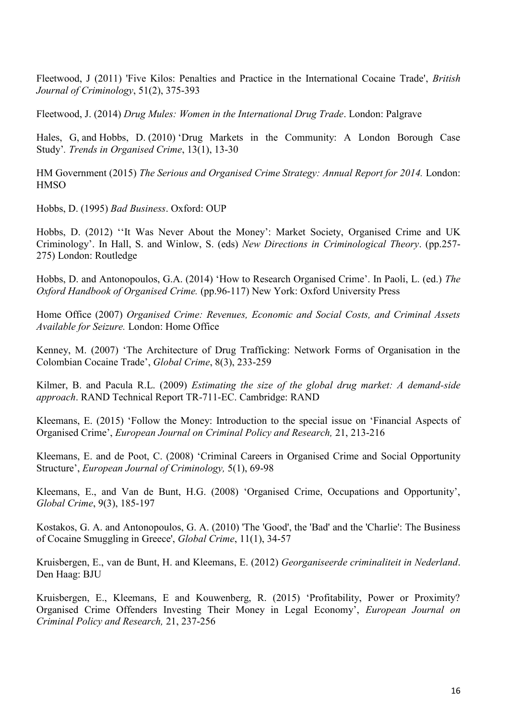Fleetwood, J (2011) 'Five Kilos: Penalties and Practice in the International Cocaine Trade', *British Journal of Criminology*, 51(2), 375-393

Fleetwood, J. (2014) *Drug Mules: Women in the International Drug Trade*. London: Palgrave

Hales, G, and Hobbs, D. (2010) ['Drug Markets in the Community: A London Borough Case](http://eprints.lse.ac.uk/30232/)  [Study'](http://eprints.lse.ac.uk/30232/)*. Trends in Organised Crime*, 13(1), 13-30

HM Government (2015) *The Serious and Organised Crime Strategy: Annual Report for 2014.* London: **HMSO** 

Hobbs, D. (1995) *Bad Business*. Oxford: OUP

Hobbs, D. (2012) ''It Was Never About the Money': Market Society, Organised Crime and UK Criminology'. In Hall, S. and Winlow, S. (eds) *New Directions in Criminological Theory*. (pp.257- 275) London: Routledge

Hobbs, D. and Antonopoulos, G.A. (2014) 'How to Research Organised Crime'. In Paoli, L. (ed.) *The Oxford Handbook of Organised Crime.* (pp.96-117) New York: Oxford University Press

Home Office (2007) *Organised Crime: Revenues, Economic and Social Costs, and Criminal Assets Available for Seizure.* London: Home Office

Kenney, M. (2007) 'The Architecture of Drug Trafficking: Network Forms of Organisation in the Colombian Cocaine Trade', *Global Crime*, 8(3), 233-259

Kilmer, B. and Pacula R.L. (2009) *Estimating the size of the global drug market: A demand-side approach*. RAND Technical Report TR-711-EC. Cambridge: RAND

Kleemans, E. (2015) 'Follow the Money: Introduction to the special issue on 'Financial Aspects of Organised Crime', *European Journal on Criminal Policy and Research,* 21, 213-216

Kleemans, E. and de Poot, C. (2008) 'Criminal Careers in Organised Crime and Social Opportunity Structure', *European Journal of Criminology,* 5(1), 69-98

Kleemans, E., and Van de Bunt, H.G. (2008) 'Organised Crime, Occupations and Opportunity', *Global Crime*, 9(3), 185-197

Kostakos, G. A. and Antonopoulos, G. A. (2010) 'The 'Good', the 'Bad' and the 'Charlie': The Business of Cocaine Smuggling in Greece', *Global Crime*, 11(1), 34-57

Kruisbergen, E., van de Bunt, H. and Kleemans, E. (2012) *Georganiseerde criminaliteit in Nederland*. Den Haag: BJU

Kruisbergen, E., Kleemans, E and Kouwenberg, R. (2015) 'Profitability, Power or Proximity? Organised Crime Offenders Investing Their Money in Legal Economy', *European Journal on Criminal Policy and Research,* 21, 237-256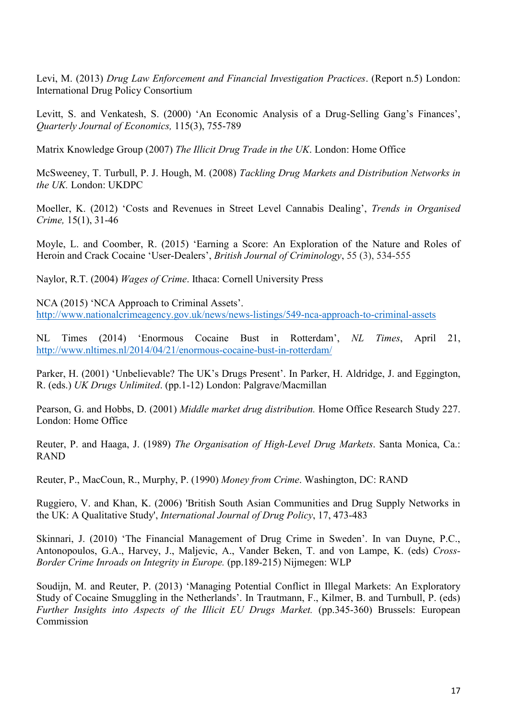Levi, M. (2013) *Drug Law Enforcement and Financial Investigation Practices*. (Report n.5) London: International Drug Policy Consortium

Levitt, S. and Venkatesh, S. (2000) 'An Economic Analysis of a Drug-Selling Gang's Finances', *Quarterly Journal of Economics,* 115(3), 755-789

Matrix Knowledge Group (2007) *The Illicit Drug Trade in the UK*. London: Home Office

McSweeney, T. Turbull, P. J. Hough, M. (2008) *Tackling Drug Markets and Distribution Networks in the UK.* London: UKDPC

Moeller, K. (2012) 'Costs and Revenues in Street Level Cannabis Dealing', *Trends in Organised Crime,* 15(1), 31-46

Moyle, L. and Coomber, R. (2015) 'Earning a Score: An Exploration of the Nature and Roles of Heroin and Crack Cocaine 'User-Dealers', *British Journal of Criminology*, 55 (3), 534-555

Naylor, R.T. (2004) *Wages of Crime*. Ithaca: Cornell University Press

NCA (2015) 'NCA Approach to Criminal Assets'. <http://www.nationalcrimeagency.gov.uk/news/news-listings/549-nca-approach-to-criminal-assets>

NL Times (2014) 'Enormous Cocaine Bust in Rotterdam', *NL Times*, April 21, <http://www.nltimes.nl/2014/04/21/enormous-cocaine-bust-in-rotterdam/>

Parker, H. (2001) 'Unbelievable? The UK's Drugs Present'. In Parker, H. Aldridge, J. and Eggington, R. (eds.) *UK Drugs Unlimited*. (pp.1-12) London: Palgrave/Macmillan

Pearson, G. and Hobbs, D. (2001) *Middle market drug distribution.* Home Office Research Study 227. London: Home Office

Reuter, P. and Haaga, J. (1989) *The Organisation of High-Level Drug Markets*. Santa Monica, Ca.: RAND

Reuter, P., MacCoun, R., Murphy, P. (1990) *Money from Crime*. Washington, DC: RAND

Ruggiero, V. and Khan, K. (2006) 'British South Asian Communities and Drug Supply Networks in the UK: A Qualitative Study', *International Journal of Drug Policy*, 17, 473-483

Skinnari, J. (2010) 'The Financial Management of Drug Crime in Sweden'. In van Duyne, P.C., Antonopoulos, G.A., Harvey, J., Maljevic, A., Vander Beken, T. and von Lampe, K. (eds) *Cross-Border Crime Inroads on Integrity in Europe.* (pp.189-215) Nijmegen: WLP

Soudijn, M. and Reuter, P. (2013) 'Managing Potential Conflict in Illegal Markets: An Exploratory Study of Cocaine Smuggling in the Netherlands'. In Trautmann, F., Kilmer, B. and Turnbull, P. (eds) *Further Insights into Aspects of the Illicit EU Drugs Market.* (pp.345-360) Brussels: European Commission